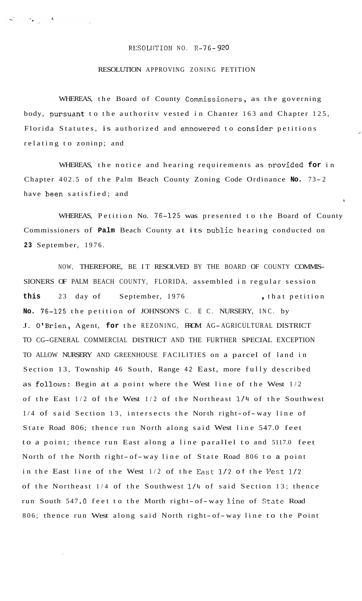## RL:SOLIJTION NO. R-76- *920*

## RESOLUTION APPROVING ZONING PETITION

WHEREAS, the Board of County Commissioners, as the governing body, pursuant to the authority vested in Chanter 163 and Chapter 125, Florida Statutes, is authorized and empowered to consider petitions relating to zoninp; and

r.

I

WHEREAS, the notice and hearing requirements as provided **for** in Chapter 402.5 of the Palm Beach County Zoning Code Ordinance No. 73-2 have heen satisfied; and

WHEREAS, Petition No. 76-125 was presented to the Board of County Commissioners of **Palm** Beach County at its Dublic hearing conducted on **23** September, 1976.

NOW, THEREFORE, BE IT RESOLVED BY THE BOARD OF COUNTY COMMIS-SIONERS OF PALM BEACH COUNTY, FLORIDA, assembled in regular session this 23 day of September, 1976 **,** that petition **No.** 76-125 the petition of JOHNSON'S C. E C. NURSERY, INC. by J. O'Brien, Agent, **for** the REZONING, FROM AG-AGRICULTURAL DISTRICT TO CG-GENERAL COMMERCIAL DISTRICT AND THE FURTHER SPECIAL EXCEPTION TO ALLOW NURSERY AND GREENHOUSE FACILITIES on a parcel of land in Section 13, Township 46 South, Range 42 East, more fully described as follows: Begin at a point where the West line of the West 1/2 of the East  $1/2$  of the West  $1/2$  of the Northeast  $1/4$  of the Southwest 1/4 of said Section 13, intersects the North right-of-way line of State Road 806; thence run North along said West line 547.0 feet to a point; thence run East along a line parallel to and 5117.0 feet North of the North right- of- way line of State Road 806 to a point in the East line of the West 1/2 of the East 1/2 of the West 1/2 of the Northeast 1/4 of the Southwest 1/4 of said Section 13; thence run South 547 *.O* feet to the Morth right- of- way line of State Road 806; thence run West along said North right- of- way line to the Point